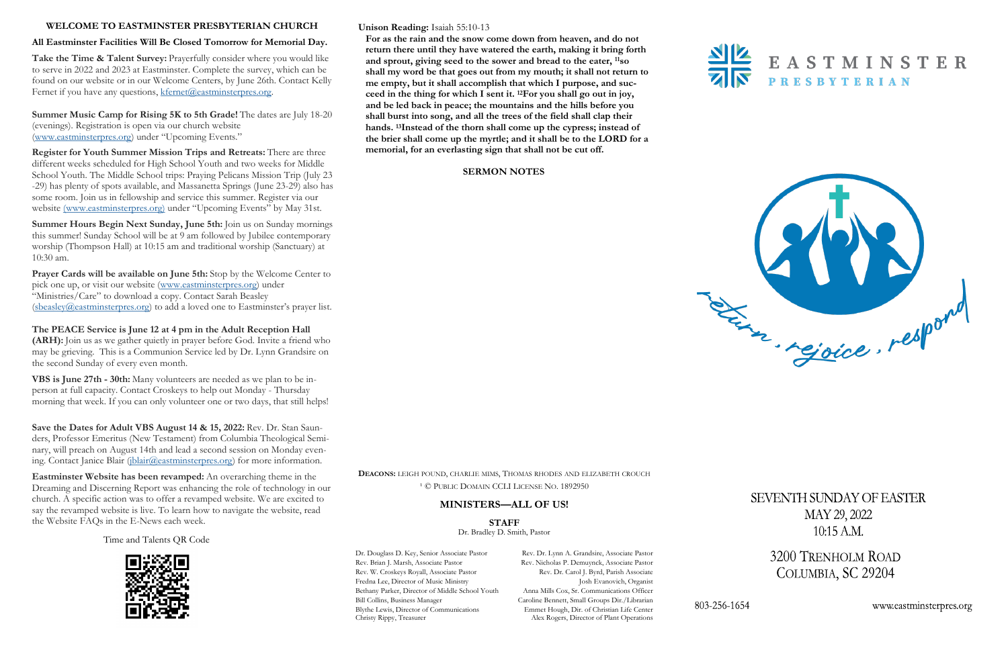#### **Unison Reading:** Isaiah 55:10-13

**For as the rain and the snow come down from heaven, and do not return there until they have watered the earth, making it bring forth and sprout, giving seed to the sower and bread to the eater, <sup>11</sup>so shall my word be that goes out from my mouth; it shall not return to me empty, but it shall accomplish that which I purpose, and succeed in the thing for which I sent it. <sup>12</sup>For you shall go out in joy, and be led back in peace; the mountains and the hills before you shall burst into song, and all the trees of the field shall clap their hands. <sup>13</sup>Instead of the thorn shall come up the cypress; instead of the brier shall come up the myrtle; and it shall be to the LORD for a memorial, for an everlasting sign that shall not be cut off.** 

#### **SERMON NOTES**



#### **WELCOME TO EASTMINSTER PRESBYTERIAN CHURCH**

#### **All Eastminster Facilities Will Be Closed Tomorrow for Memorial Day.**

Take the Time & Talent Survey: Prayerfully consider where you would like to serve in 2022 and 2023 at Eastminster. Complete the survey, which can be found on our website or in our Welcome Centers, by June 26th. Contact Kelly Fernet if you have any questions, [kfernet@eastminsterpres.org.](mailto:kfernet@eastminsterpres.org)

**Prayer Cards will be available on June 5th:** Stop by the Welcome Center to pick one up, or visit our website ([www.eastminsterpres.org\)](http://www.eastminsterpres.org) under "Ministries/Care" to download a copy. Contact Sarah Beasley  $(sbeasley@eastminsterpres.org)$  $(sbeasley@eastminsterpres.org)$  to add a loved one to Eastminster's prayer list.

**Summer Music Camp for Rising 5K to 5th Grade!** The dates are July 18-20 (evenings). Registration is open via our church website [\(www.eastminsterpres.org](http://www.eastminsterpres.org)) under "Upcoming Events."

**Save the Dates for Adult VBS August 14 & 15, 2022:** Rev. Dr. Stan Saunders, Professor Emeritus (New Testament) from Columbia Theological Seminary, will preach on August 14th and lead a second session on Monday evening. Contact Janice Blair ([jblair@eastminsterpres.org\)](mailto:jblair@eastminsterpres.org) for more information.

**Register for Youth Summer Mission Trips and Retreats:** There are three different weeks scheduled for High School Youth and two weeks for Middle School Youth. The Middle School trips: Praying Pelicans Mission Trip (July 23 -29) has plenty of spots available, and Massanetta Springs (June 23-29) also has some room. Join us in fellowship and service this summer. Register via our website [\(www.eastminsterpres.org\)](http://www.eastminsterpres.org) under "Upcoming Events" by May 31st.

> **DEACONS:** LEIGH POUND, CHARLIE MIMS, THOMAS RHODES AND ELIZABETH CROUCH <sup>1</sup> © PUBLIC DOMAIN CCLI LICENSE NO. 1892950

Dr. Douglass D. Key, Senior Associate Pastor Rev. Dr. Lynn A. Grandsire, Associate Pastor Rev. Brian J. Marsh, Associate Pastor Rev. Nicholas P. Demuynck, Associate Pastor Rev. W. Croskeys Royall, Associate Pastor Rev. Dr. Carol J. Byrd, Parish Associate Fredna Lee, Director of Music Ministry **Josh Evanovich, Organist** Bethany Parker, Director of Middle School Youth Anna Mills Cox, Sr. Communications Officer Bill Collins, Business Manager Caroline Bennett, Small Groups Dir./Librarian Blythe Lewis, Director of Communications Emmet Hough, Dir. of Christian Life Center<br>Christy Rippy, Treasurer Alex Rogers, Director of Plant Operations

Alex Rogers, Director of Plant Operations



803-256-1654



SEVENTH SUNDAY OF EASTER MAY 29, 2022  $10:15$  A.M.

> 3200 TRENHOLM ROAD COLUMBIA, SC 29204

> > www.eastminsterpres.org

**Summer Hours Begin Next Sunday, June 5th:** Join us on Sunday mornings this summer! Sunday School will be at 9 am followed by Jubilee contemporary worship (Thompson Hall) at 10:15 am and traditional worship (Sanctuary) at 10:30 am.

**The PEACE Service is June 12 at 4 pm in the Adult Reception Hall (ARH):** Join us as we gather quietly in prayer before God. Invite a friend who may be grieving. This is a Communion Service led by Dr. Lynn Grandsire on the second Sunday of every even month.

**VBS is June 27th - 30th:** Many volunteers are needed as we plan to be inperson at full capacity. Contact Croskeys to help out Monday - Thursday morning that week. If you can only volunteer one or two days, that still helps!

**Eastminster Website has been revamped:** An overarching theme in the Dreaming and Discerning Report was enhancing the role of technology in our church. A specific action was to offer a revamped website. We are excited to say the revamped website is live. To learn how to navigate the website, read the Website FAQs in the E-News each week.

# **MINISTERS—ALL OF US!**

**STAFF** Dr. Bradley D. Smith, Pastor

Time and Talents QR Code